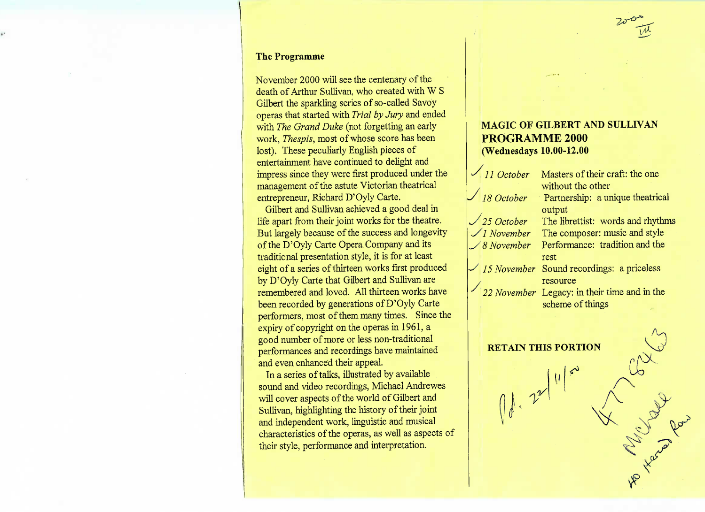#### **The Programme**

November 2000 will see the centenary of theleath of Arthur Sullivan, who created with W S Gilbert the sparkling series of so-called Savoy operas that started with *Trial by Jury* and endedwith *The Grand Duke* (not forgetting an early work, *Thespis,* most of whose score has beenlost). These peculiarly English pieces of entertainment have continued to delight andmpress since they were first produced under the management of the astute Victorian theatricalentrepreneur, Richard D'Oyly Carte.

 Gilbert and Sullivan achieved a good deal in life apart from their joint works for the theatre. But largely because of the success and longevityof the D'Oyly Carte Opera Company and its traditional presentation style, it is for at least eight of a series of thirteen works first producedby D'Oyly Carte that Gilbert and Sullivan are remembered and loved. All thirteen works havebeen recorded by generations of D'Oyly Carte performers, most of them many times. Since theexpiry of copyright on the operas in 1961, a good number of more or less non-traditional performances and recordings have maintainedand even enhanced their appeal.

 In a series of talks, illustrated by available sound and video recordings, Michael Andreweswill cover aspects of the world of Gilbert and Sullivan, highlighting the history of their joint and independent work, linguistic and musical characteristics of the operas, as well as aspects oftheir style, performance and interpretation.

## **MAGIC OF GILBERT AND SULLIVANPROGRAMME 2000(Wednesdays 10.00-12.00**

*••/ 11 October*18 October »/ *25 October* •-/./ *November* .\_/ *8 November*-// *15 November*Masters of their craft: the onewithout the other Partnership: a unique theatricalracput<br>01. . . 111. The composer: music and style Performance: tradition and the Sound recordings: a priceless

Legacy: in their time and in the scheme of things

 $\lambda^{\text{m}}$ 

V



**RETAIN THIS PORTION**01.22/11/20